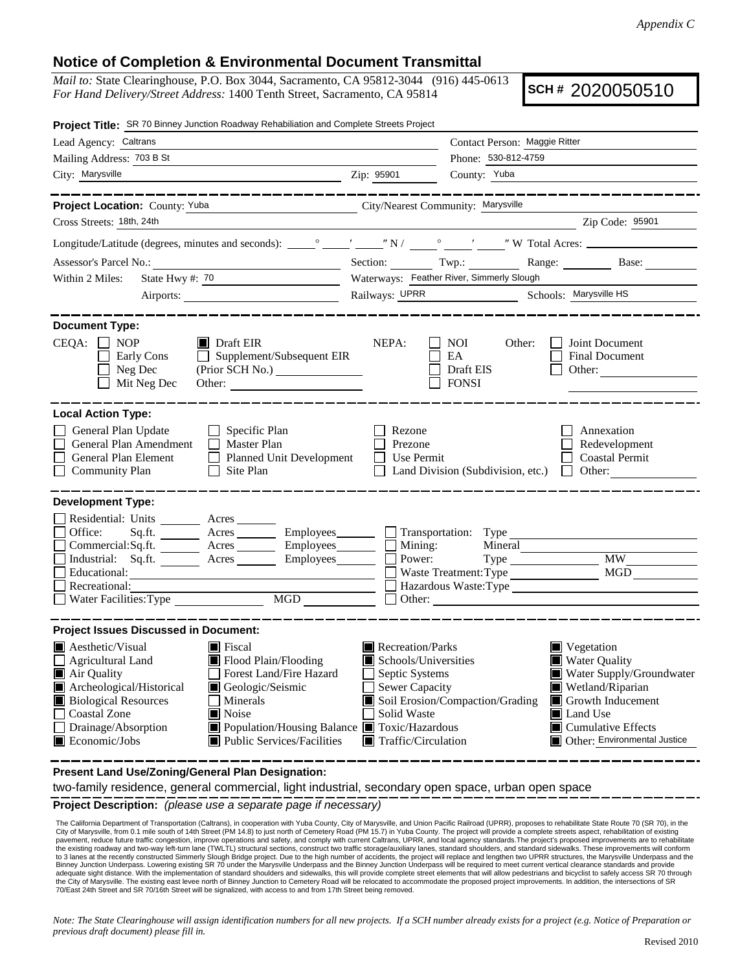## **Notice of Completion & Environmental Document Transmittal**

*Mail to:* State Clearinghouse, P.O. Box 3044, Sacramento, CA 95812-3044 (916) 445-0613 *For Hand Delivery/Street Address:* 1400 Tenth Street, Sacramento, CA 95814

**SCH #** 2020050510

| Project Title: SR 70 Binney Junction Roadway Rehabiliation and Complete Streets Project                                                                                                                                                                                                                                                                                                                                       |                                                                                                                                                                                                                                                                                                                                                                   |  |  |  |  |  |
|-------------------------------------------------------------------------------------------------------------------------------------------------------------------------------------------------------------------------------------------------------------------------------------------------------------------------------------------------------------------------------------------------------------------------------|-------------------------------------------------------------------------------------------------------------------------------------------------------------------------------------------------------------------------------------------------------------------------------------------------------------------------------------------------------------------|--|--|--|--|--|
| Lead Agency: Caltrans                                                                                                                                                                                                                                                                                                                                                                                                         | Contact Person: Maggie Ritter                                                                                                                                                                                                                                                                                                                                     |  |  |  |  |  |
| Mailing Address: 703 B St                                                                                                                                                                                                                                                                                                                                                                                                     | Phone: 530-812-4759                                                                                                                                                                                                                                                                                                                                               |  |  |  |  |  |
| City: Marysville<br><u> 1989 - Johann Barn, fransk politik fotograf (d. 1989)</u>                                                                                                                                                                                                                                                                                                                                             | Zip: 95901<br>County: Yuba                                                                                                                                                                                                                                                                                                                                        |  |  |  |  |  |
| --------------                                                                                                                                                                                                                                                                                                                                                                                                                | . __ __ __ __ __ __ __ __ __ __                                                                                                                                                                                                                                                                                                                                   |  |  |  |  |  |
| Project Location: County: Yuba                                                                                                                                                                                                                                                                                                                                                                                                | City/Nearest Community: Marysville                                                                                                                                                                                                                                                                                                                                |  |  |  |  |  |
| Cross Streets: 18th, 24th                                                                                                                                                                                                                                                                                                                                                                                                     | Zip Code: 95901                                                                                                                                                                                                                                                                                                                                                   |  |  |  |  |  |
|                                                                                                                                                                                                                                                                                                                                                                                                                               |                                                                                                                                                                                                                                                                                                                                                                   |  |  |  |  |  |
|                                                                                                                                                                                                                                                                                                                                                                                                                               | Section: Twp.: Range: Base:                                                                                                                                                                                                                                                                                                                                       |  |  |  |  |  |
| Within 2 Miles:                                                                                                                                                                                                                                                                                                                                                                                                               | Waterways: Feather River, Simmerly Slough                                                                                                                                                                                                                                                                                                                         |  |  |  |  |  |
|                                                                                                                                                                                                                                                                                                                                                                                                                               | Railways: UPRR Schools: Marysville HS                                                                                                                                                                                                                                                                                                                             |  |  |  |  |  |
| <b>Document Type:</b><br>$CEQA: \Box NP$<br>$\blacksquare$ Draft EIR<br>Early Cons<br>$\Box$ Supplement/Subsequent EIR<br>Neg Dec<br>(Prior SCH No.)<br>Mit Neg Dec<br>Other:                                                                                                                                                                                                                                                 | NEPA:<br>Joint Document<br>NOI<br>Other:<br>EA<br><b>Final Document</b><br>Draft EIS<br>Other:<br><b>FONSI</b>                                                                                                                                                                                                                                                    |  |  |  |  |  |
| <b>Local Action Type:</b>                                                                                                                                                                                                                                                                                                                                                                                                     |                                                                                                                                                                                                                                                                                                                                                                   |  |  |  |  |  |
| General Plan Update<br>$\Box$ Specific Plan<br>General Plan Amendment<br>$\Box$ Master Plan<br>General Plan Element<br>Planned Unit Development<br><b>Community Plan</b><br>$\Box$ Site Plan                                                                                                                                                                                                                                  | Rezone<br>Annexation<br>Prezone<br>Redevelopment<br><b>Coastal Permit</b><br>Use Permit<br>Land Division (Subdivision, etc.) $\Box$ Other:                                                                                                                                                                                                                        |  |  |  |  |  |
| <b>Development Type:</b>                                                                                                                                                                                                                                                                                                                                                                                                      |                                                                                                                                                                                                                                                                                                                                                                   |  |  |  |  |  |
| Residential: Units _________ Acres _______<br>Office:<br>Sq.ft. _________ Acres __________ Employees________<br>Commercial:Sq.ft. _________ Acres __________ Employees________<br>Industrial: Sq.ft. _______ Acres _______ Employees_______<br>Educational:<br>Recreational:<br>Water Facilities: Type<br>MGD                                                                                                                 | Transportation: Type<br>Mining:<br>Power:<br>Mineral<br>$\overline{\text{MW}}$<br>Type<br>$MG\bar{D}$<br>Hazardous Waste: Type                                                                                                                                                                                                                                    |  |  |  |  |  |
| <b>Project Issues Discussed in Document:</b>                                                                                                                                                                                                                                                                                                                                                                                  |                                                                                                                                                                                                                                                                                                                                                                   |  |  |  |  |  |
| $\blacksquare$ Aesthetic/Visual<br>$\blacksquare$ Fiscal<br>$\Box$ Agricultural Land<br>Flood Plain/Flooding<br>Air Quality<br>Forest Land/Fire Hazard<br>Archeological/Historical<br>Geologic/Seismic<br>Ш<br><b>Biological Resources</b><br>Minerals<br>Noise<br><b>Coastal Zone</b><br>Drainage/Absorption<br>■ Population/Housing Balance ■ Toxic/Hazardous<br>Public Services/Facilities<br>$\blacksquare$ Economic/Jobs | Recreation/Parks<br>$\blacksquare$ Vegetation<br>Schools/Universities<br><b>Water Quality</b><br>Septic Systems<br>Water Supply/Groundwater<br>Sewer Capacity<br>Wetland/Riparian<br>Soil Erosion/Compaction/Grading<br>Growth Inducement<br>Solid Waste<br><b>■</b> Land Use<br>$\Box$ Cumulative Effects<br>Traffic/Circulation<br>Other: Environmental Justice |  |  |  |  |  |

**Present Land Use/Zoning/General Plan Designation:**

two-family residence, general commercial, light industrial, secondary open space, urban open space

**Project Description:** *(please use a separate page if necessary)*

The California Department of Transportation (Caltrans), in cooperation with Yuba County, City of Marysville, and Union Pacific Railroad (UPRR), proposes to rehabilitate State Route 70 (SR 70), in the City of Marysville, fr The California Department of Transportation (Caltrans), in cooperation with Yuba County, City of Marysville, and Union Pacific Railroad (UPRR), proposes to rehabilitate State Route 70 (SR 70), in the to 3 lanes at the recently constructed Simmerly Slough Bridge project. Due to the high number of accidents, the project will replace and lengthen two UPRR structures, the Marysville Underpass and the<br>Binney Junction Underp adequate sight distance. With the implementation of standard shoulders and sidewalks, this will provide complete street elements that will allow pedestrians and bicyclist to safely access SR 70 through the City of Marysville. The existing east levee north of Binney Junction to Cemetery Road will be relocated to accommodate the proposed project improvements. In addition, the intersections of SR 70/East 24th Street and SR 70/16th Street will be signalized, with access to and from 17th Street being removed.

*Note: The State Clearinghouse will assign identification numbers for all new projects. If a SCH number already exists for a project (e.g. Notice of Preparation or previous draft document) please fill in.*